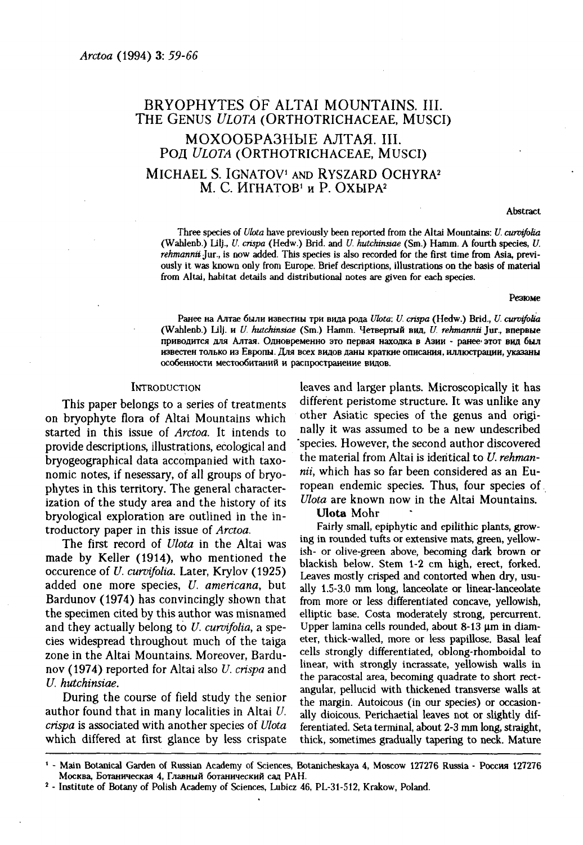# BRYOPHYTES OF ALTAI MOUNTAINS. III. THE GENUS *ULOTA* (ORTHOTRICHACEAE, Musci) МОХООБРАЗНЫЕ АЛТАЯ. III. РОД *ULOTA* (ORTHOTRICHACEAE, MUSCI) MICHAEL S. IGNATOV<sup>1</sup> AND RYSZARD OCHYRA<sup>2</sup> I. С. ИГНАТОВ<sup>1</sup> и Р. ОХЫРА<sup>2</sup>

Abstract

Three species of *Ulota* have previously been reported from the Altai Mountains: *U. curvifoha*  (Wahlenb.) Lilj., *U. crispa* (Hedw.) Brid. and *U. hutchinsiae* (Sm.) Hamm. A fourth species, *U. rehmanniiJur.,* is now added. This species is also recorded for the first time from Asia, previously it was known only from Europe. Brief descriptions, illustrations on the basis of material from Altai, habitat details and distributional notes are given for each species.

#### Резюме

Ранее на Алтае были известны три вида рода *Ulota: U. crispa* (Hedw.) Brid., *U. curvifolia* (Wahlenb.) Lilj. *U. hutchinsiae* (Sm.) Hamm. Четверты вид, *U. rehmannii* Jur., впервые приводится для Алтая. Одновременно это первая находка в Азии - ранее этот вид был известен только из Европы. Для всех видов даны краткие описания, иллюстрации, указаны особенности местообитаний и распространение видов.

## **INTRODUCTION**

This paper belongs to a series of treatments on bryophyte flora of Altai Mountains which started in this issue of *Arctoa.* It intends to provide descriptions, illustrations, ecological and bryogeographical data accompanied with taxonomic notes, if nesessary, of all groups of bryophytes in this territory. The general characterization of the study area and the history of its bryological exploration are outlined in the introductory paper in this issue of *Arctoa.* 

The first record of *Ulota* in the Altai was made by Keller (1914), who mentioned the occurence of *U. curvifoha.* Later, Krylov (1925) added one more species, *U. americana,* but Bardunov (1974) has convincingly shown that the specimen cited by this author was misnamed and they actually belong to *U. curvifolia,* a species widespread throughout much of the taiga zone in the Altai Mountains. Moreover, Bardunov (1974) reported for Altai also *U. crispa* and *U. hutchinsiae.* 

During the course of field study the senior author found that in many localities in Altai *U. crispa* is associated with another species of *Ulota*  which differed at first glance by less crispate leaves and larger plants. Microscopically it has different peristome structure. It was unlike any other Asiatic species of the genus and originally it was assumed to be a new undescribed species. However, the second author discovered the material from Altai is identical to *U. rehmannii,* which has so far been considered as an European endemic species. Thus, four species of *Ulota* are known now in the Altai Mountains.

# **Ulota** Mohr

Fairly small, epiphytic and epilithic plants, growing in rounded tufts or extensive mats, green, yellowish- or olive-green above, becoming dark brown or blackish below. Stem 1-2 cm high, erect, forked. Leaves mostly crisped and contorted when dry, usually 1.5-3.0 mm long, lanceolate or linear-lanceolate from more or less differentiated concave, yellowish, elliptic base. Costa moderately strong, percurrent. Upper lamina cells rounded, about 8-13 um in diameter, thick-walled, more or less papillose. Basal leaf cells strongly differentiated, oblong-rhomboidal to linear, with strongly incrassate, yellowish walls in the paracostal area, becoming quadrate to short rectangular, pellucid with thickened transverse walls at the margin. Autoicous (in our species) or occasionally dioicous. Perichaetial leaves not or slightly differentiated. Seta terminal, about 2-3 mm long, straight, thick, sometimes gradually tapering to neck. Mature

<sup>1</sup> - Main Botanical Garden of Russian Academy of Sciences, Botanicheskaya 4, Moscow 127276 Russia - Россия 127276 Москва, Ботаническая 4, Главный ботанический сал РАН.

<sup>2</sup> - Institute of Botany of Polish Academy of Sciences, Lubicz 46, PL-31-512, Krakow, Poland.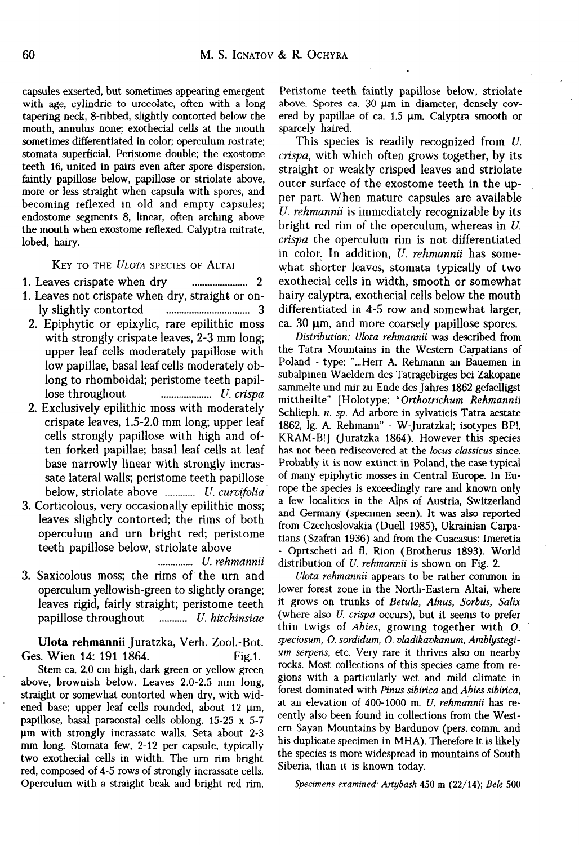capsules exserted, but sometimes appearing emergent with age, cylindric to urceolate, often with a long tapering neck, 8-ribbed, slightly contorted below the mouth, annulus none; exothecial cells at the mouth sometimes differentiated in color; operculum rostrate; stomata superficial. Peristome double; the exostome teeth 16, united in pairs even after spore dispersion, faintly papillose below, papillose or striolate above, more or less straight when capsula with spores, and becoming reflexed in old and empty capsules; endostome segments 8, linear, often arching above the mouth when exostome reflexed. Calyptra mitrate, lobed, hairy.

KEY TO THE *ULOTA* SPECIES OF ALTAI

1. Leaves crispate when dry 2

- 1. Leaves not crispate when dry, straight or only slightly contorted 3
- 2. Epiphytic or epixylic, rare epilithic moss with strongly crispate leaves, 2-3 mm long; upper leaf cells moderately papillose with low papillae, basal leaf cells moderately oblong to rhomboidal; peristome teeth papillose throughout *U. crispa*
- 2. Exclusively epilithic moss with moderately crispate leaves, 1.5-2.0 mm long; upper leaf cells strongly papillose with high and often forked papillae; basal leaf cells at leaf base narrowly linear with strongly incrassate lateral walls; peristome teeth papillose below, striolate above *U. curvifolia*
- 3. Corticolous, very occasionally epilithic moss; leaves slightly contorted; the rims of both operculum and urn bright red; peristome teeth papillose below, striolate above

*U. rehmannii* 

3. Saxicolous moss; the rims of the urn and operculum yellowish-green to slightly orange; leaves rigid, fairly straight; peristome teeth papillose throughout *U. hitchinsiae* 

**Ulota rehmannii** Juratzka, Verh. Zool.-Bot. Ges. Wien 14: 191 1864. Fig.1.

Stem ca. 2.0 cm high, dark green or yellow green above, brownish below. Leaves 2.0-2.5 mm long, straight or somewhat contorted when dry, with widened base; upper leaf cells rounded, about 12 цт, papillose, basal paracostal cells oblong, 15-25 x 5-7 um with strongly incrassate walls. Seta about 2-3 mm long. Stomata few, 2-12 per capsule, typically two exothecial cells in width. The urn rim bright red, composed of 4-5 rows of strongly incrassate cells. Operculum with a straight beak and bright red rim.

Peristome teeth faintly papillose below, striolate above. Spores ca. 30  $\mu$ m in diameter, densely covered by papillae of ca. 1.5  $\mu$ m. Calyptra smooth or sparcely haired.

This species is readily recognized from *U. crispa,* with which often grows together, by its straight or weakly crisped leaves and striolate outer surface of the exostome teeth in the upper part. When mature capsules are available *U. rehmannii* is immediately recognizable by its bright red rim of the operculum, whereas in *U. crispa* the operculum rim is not differentiated in color. In addition, *U. rehmannii* has somewhat shorter leaves, stomata typically of two exothecial cells in width, smooth or somewhat hairy calyptra, exothecial cells below the mouth differentiated in 4-5 row and somewhat larger, ca. 30  $\mu$ m, and more coarsely papillose spores.

*Distribution: Ulota rehmannii* was described from the Tatra Mountains in the Western Carpatians of Poland - type: "...Herr A. Rehmann an Bauemen in subalpinen Waeldern des Tatragebirges bei Zakopane sammelte und mir zu Ende des Jahres 1862 gefaelligst mittheilte" [Holotype: "*Orthotrichum Rehmannii*  Schlieph. *n. sp.* Ad arbore in sylvaticis Tatra aestate 1862, lg. A. Rehmann" - W-Juratzka!; isotypes BP!, KRAM-B!] (Juratzka 1864). However this species has not been rediscovered at the *locus classicus* since. Probably it is now extinct in Poland, the case typical of many epiphytic mosses in Central Europe. In Europe the species is exceedingly rare and known only a few localities in the Alps of Austria, Switzerland and Germany (specimen seen). It was also reported from Czechoslovakia (Duell 1985), Ukrainian Carpatians (Szafran 1936) and from the Cuacasus: Imeretia - Oprtscheti ad fl. Rion (Brotherus 1893). World distribution of *U. rehmannii* is shown on Fig. 2.

*Ulota rehmannii* appears to be rather common in lower forest zone in the North-Eastern Altai, where it grows on trunks of *Betula, Alnus, Sorbus, Salix*  (where also *U. crispa* occurs), but it seems to prefer thin twigs of *Abies,* growing together with *O. speciosum, O. sordidum, O. vladikavkanum, Amblystegium serpens,* etc. Very rare it thrives also on nearby rocks. Most collections of this species came from regions with a particularly wet and mild climate in forest dominated with *Pinus sibirica* and *Abies sibirica,*  at an elevation of 400-1000 m. *U. rehmannii* has recently also been found in collections from the Western Sayan Mountains by Bardunov (pers. comm. and his duplicate specimen in MHA). Therefore it is likely the species is more widespread in mountains of South Siberia, than it is known today.

*Specimens examined: Artybash* 450 m (22/14); *Век* 500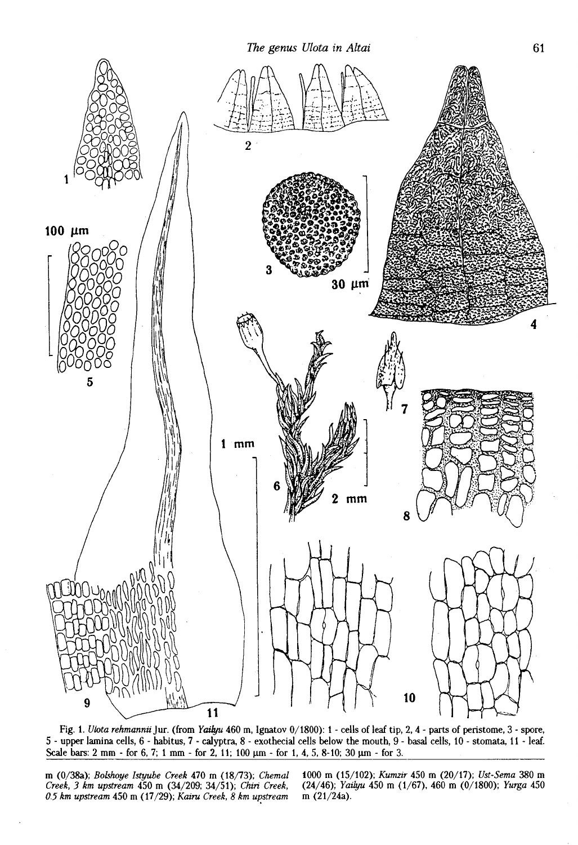

Fig. 1. *Ulota rehmannii Jur.* (from *Yaiiyu* 460 m, Ignatov 0/1800): 1 - cells of leaf tip, 2,4 - parts of peristome, 3 - spore, 5 - upper lamina cells, 6 - habitus, 7 - calyptra, 8 - exothecial cells below the mouth, 9 - basal cells, 10 - stomata, 11 - leaf. Scale bars: 2 mm - for 6, 7; 1 mm - for 2, 11; 100  $\mu$ m - for 1, 4, 5, 8-10; 30  $\mu$ m - for 3.

m (0/38a); *Bokhoye Istyube Creek* 470 m (18/73); *Chemal Creek, 3 km upstream* 450 m (34/209; 34/51); *Chiri Creek, 05 km upstream* 450 m (17/29); *Kairu Creek, 8 km upstream* 

1000 m (15/102); *Kumzir* 450 m (20/17); *Ust-Sema* 380 m (24/46); *Yaiiyu* 450 m (1/67), 460 m (0/1800); *Yurga* 450 m (21/24a).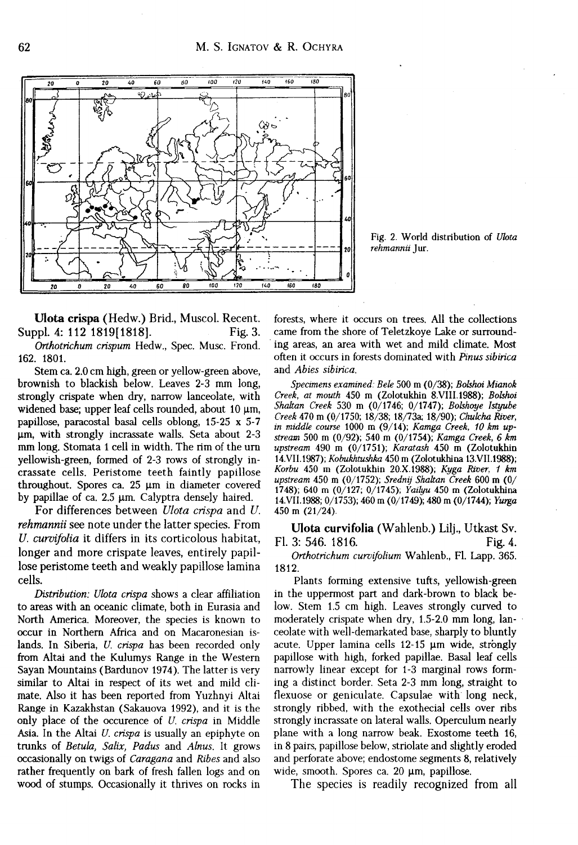

Fig. 2. World distribution of *Ulota rehmannii* Jur.

**Ulota crispa** (Hedw.) Brid., Muscol. Recent. Suppl. 4: 112 1819[1818]. Fig. 3.

*Orihotrichum crispum* Hedw., Spec. Musc. Frond. 162. 1801.

Stem ca. 2.0 cm high, green or yellow-green above, brownish to blackish below. Leaves 2-3 mm long, strongly crispate when dry, narrow lanceolate, with widened base; upper leaf cells rounded, about 10 цт, papillose, paracostal basal cells oblong, 15-25 x 5-7 um, with strongly incrassate walls. Seta about 2-3 mm long. Stomata 1 cell in width. The rim of the urn yellowish-green, formed of 2-3 rows of strongly incrassate cells. Peristome teeth faintly papillose throughout. Spores ca.  $25 \mu m$  in diameter covered by papillae of ca.  $2.5 \mu m$ . Calyptra densely haired.

For differences between *Ulota crispa* and *U. rehmannii* see note under the latter species. From *U. curvifolia* it differs in its corticolous habitat, longer and more crispate leaves, entirely papillose peristome teeth and weakly papillose lamina cells.

*Distribution: Ulota crispa* shows a clear affiliation to areas with an oceanic climate, both in Eurasia and North America. Moreover, the species is known to occur in Northern Africa and on Macaronesian islands. In Siberia, *U. crispa* has been recorded only from Altai and the Kulumys Range in the Western Sayan Mountains (Bardunov 1974). The latter is very similar to Altai in respect of its wet and mild climate. Also it has been reported from Yuzhnyi Altai Range in Kazakhstan (Sakauova 1992), and it is the only place of the occurence of *U. crispa* in Middle Asia. In the Altai *U. crispa* is usually an epiphyte on trunks of *Betula, Salix, Padus* and *Alnus.* It grows occasionally on twigs of *Caragana* and *Ribes* and also rather frequently on bark of fresh fallen logs and on wood of stumps. Occasionally it thrives on rocks in forests, where it occurs on trees. All the collections came from the shore of Teletzkoye Lake or surrounding areas, an area with wet and mild climate. Most often it occurs in forests dominated with *Pinus sibirica*  and *Abies sibirica.* 

*Specimens examined: Bele* 500 in (0/38); *Bolshoi Mianok Creek, at mouth* 450 m (Zolotukhin 8.VIII.1988); *Bolshoi Shaltan Creek* 530 m (0/1746; 0/1747); *Bolshoye Istyube Creek* 470 m (0/1750; 18/38; 18/73a; 18/90); *Chulcha River, in middle course* 1000 m (9/14); *Kamga Creek, 10 km upstream* 500 m (0/92); 540 m (0/1754); *Kamga Creek, 6 km upstream* 490 m (0/1751); *Karatash* 450 m (Zolotukhin 14.VII.1987); *Kobukhtushka* 450 m (Zolotukhina 13.VII.1988); *Korbu* 450 m (Zolotukhin 20.X.1988); *Kyga River, 1 km upstream* 450 m (0/1752); *Srednij Shakan Creek* 600 m (0/ 1748); 640 m (0/127; 0/1745); *Yailyu* 450 m (Zolotukhina 14.VII.1988; 0/1753); 460 m (0/1749); 480 m (0/1744); *Yurga*  450 m (21/24).

**Ulota curvifolia** (Wahlenb.) Lilj., Utkast Sv. Fl. 3: 546. 1816. Fig. 4.

*Orthotrichum curvifolium* Wahlenb., Fl. Lapp. 365. 1812.

Plants forming extensive tufts, yellowish-green in the uppermost part and dark-brown to black below. Stem 1.5 cm high. Leaves strongly curved to moderately crispate when dry, 1.5-2.0 mm long, lanceolate with well-demarkated base, sharply to bluntly acute. Upper lamina cells 12-15 um wide, strongly papillose with high, forked papillae. Basal leaf cells narrowly linear except for 1-3 marginal rows forming a distinct border. Seta 2-3 mm long, straight to flexuose or geniculate. Capsulae with long neck, strongly ribbed, with the exothecial cells over ribs strongly incrassate on lateral walls. Operculum nearly plane with a long narrow beak. Exostome teeth 16, in 8 pairs, papillose below, striolate and slightly eroded and perforate above; endostome segments 8, relatively wide, smooth. Spores ca. 20 um, papillose.

The species is readily recognized from all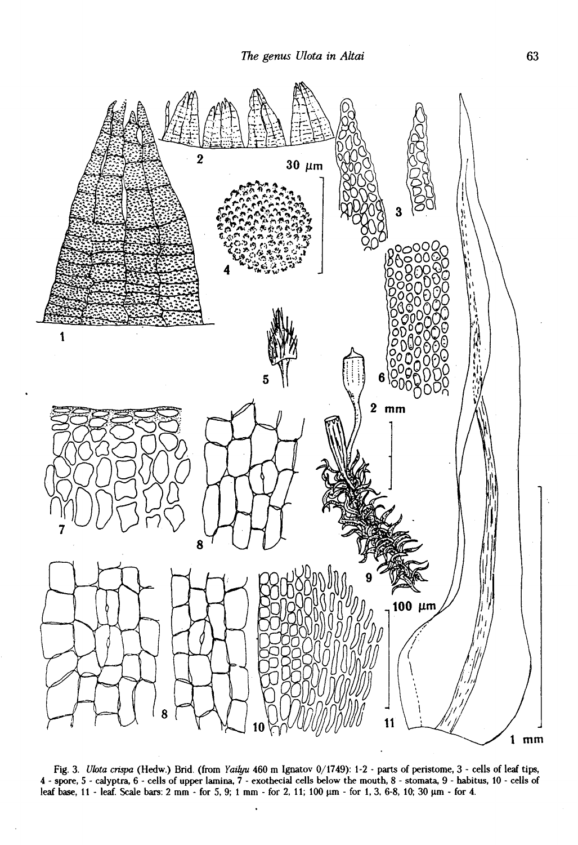

Fig. 3. *Ulota crispa* (Hedw.) Brid. (from *Yailyu* 460 m Ignatov 0/1749): 1-2 - parts of peristome, 3 - cells of leaf tips, 4 - spore, 5 - calyptra, 6 - cells of upper lamina, 7 - exothecial cells below the mouth, 8 - stomata, 9 - habitus, 10 - cells of leaf base, 11 - leaf. Scale bars: 2 mm - for 5, 9; 1 mm - for 2, 11; 100  $\mu$ m - for 1, 3, 6-8, 10; 30  $\mu$ m - for 4.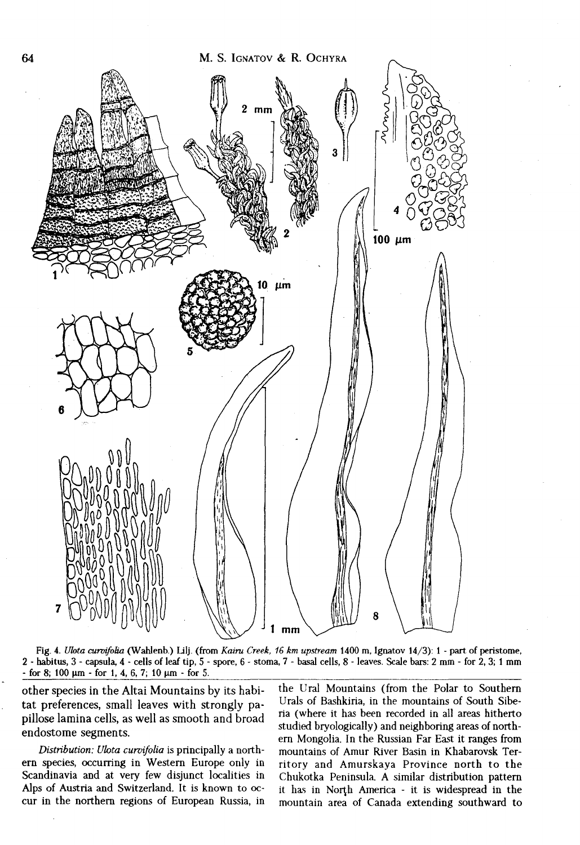M. S. IGNATOV & R. OCHYRA



Fig. 4. *Ulota curvifotia* (Wahlenb.) Lilj. (from *Kairu Creek, 16 km upstream* 1400 m, Ignatov 14/3): 1 - part of peristome, 2 - habitus, 3 - capsula, 4 - cells of leaf tip, 5 - spore, 6 - stoma, 7 - basal cells, 8 - leaves. Scale bars: 2 mm - for 2, 3; 1 mm  $-$  for 8; 100  $\mu$ m  $-$  for 1, 4, 6, 7; 10  $\mu$ m  $-$  for 5.

other species in the Altai Mountains by its habitat preferences, small leaves with strongly papillose lamina cells, as well as smooth and broad endostome segments.

*Distribution: Ulota curvifolia* is principally a northern species, occurring in Western Europe only in Scandinavia and at very few disjunct localities in Alps of Austria and Switzerland. It is known to occur in the northern regions of European Russia, in the Ural Mountains (from the Polar to Southern Urals of Bashkiria, in the mountains of South Siberia (where it has been recorded in all areas hitherto studied bryologically) and neighboring areas of northern Mongolia. In the Russian Far East it ranges from mountains of Amur River Basin in Khabarovsk Territory and Amurskaya Province north to the Chukotka Peninsula. A similar distribution pattern it has in North America - it is widespread in the mountain area of Canada extending southward to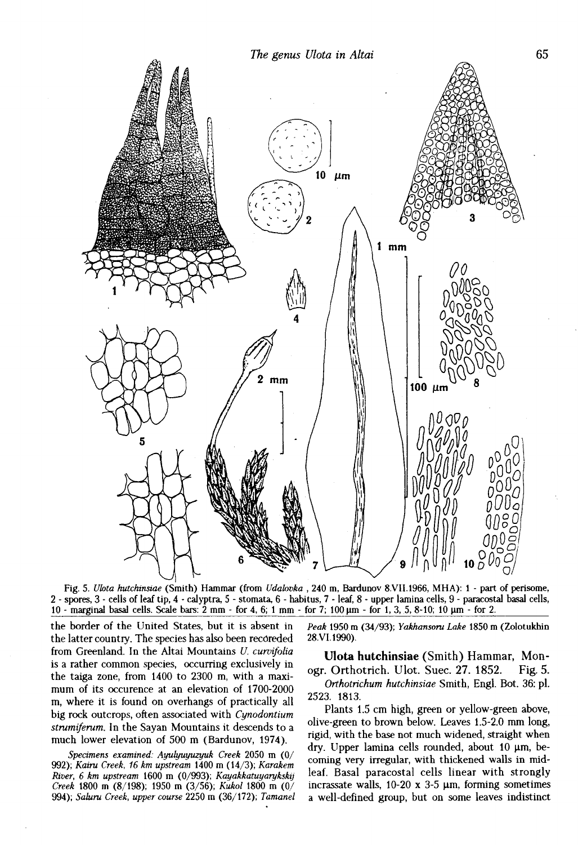



Fig. 5. *Ulota hutchinsiae* (Smith) Hammar (from *Udabvka* , 240 m, Bardunov 8.VII.1966, MHA): 1 - part of perisome, 2 - spores, 3 - cells of leaf tip, 4 - calyptra, 5 - stomata, 6 - habitus, 7 - leaf, 8 - upper lamina cells, 9 - paracostal basal cells, 10 - marginal basal cells. Scale bars: 2 mm - for 4, 6; 1 mm - for 7; 100 um - for 1, 3, 5, 8-10; 10 um - for 2.

the border of the United States, but it is absent in the latter country. The species has also been recoreded from Greenland. In the Altai Mountains *U. curvifolia*  is a rather common species, occurring exclusively in the taiga zone, from 1400 to 2300 m, with a maximum of its occurence at an elevation of 1700-2000 m, where it is found on overhangs of practically all big rock outcrops, often associated with *Cynodontium strumiferum.* In the Sayan Mountains it descends to a much lower elevation of 500 m (Bardunov, 1974).

*Specimens examined: Ayulyuyuzyuk Creek* 2050 m (0/ 992); *Kairu Creek, 16 km upstream* 1400 m (14/3); *Karakem River, 6 km upstream* 1600 m (0/993); *Kayakkatuyarykskij Creek* 1800 m (8/198); 1950 m (3/56); *Kukol* 1800 m (0/ 994); *Saiuru Creek, upper course* 2250 m (36/172); *Tamanel*  *Peak* 1950 m (34/93); *Yakhansoru Lake* 1850 m (Zolotukhin 28.VI.1990).

**Ulota hutchinsiae** (Smith) Hammar, Monogr. Orthotrich. Ulot. Suec. 27. 1852. Fig. 5.

*Orthotrichum hutchinsiae* Smith, Engl. Bot. 36: pi. 2523. 1813.

Plants 1.5 cm high, green or yellow-green above, olive-green to brown below. Leaves 1.5-2.0 mm long, rigid, with the base not much widened, straight when dry. Upper lamina cells rounded, about 10  $\mu$ m, becoming very irregular, with thickened walls in midleaf. Basal paracostal cells linear with strongly incrassate walls,  $10-20 \times 3-5 \mu m$ , forming sometimes a well-defined group, but on some leaves indistinct